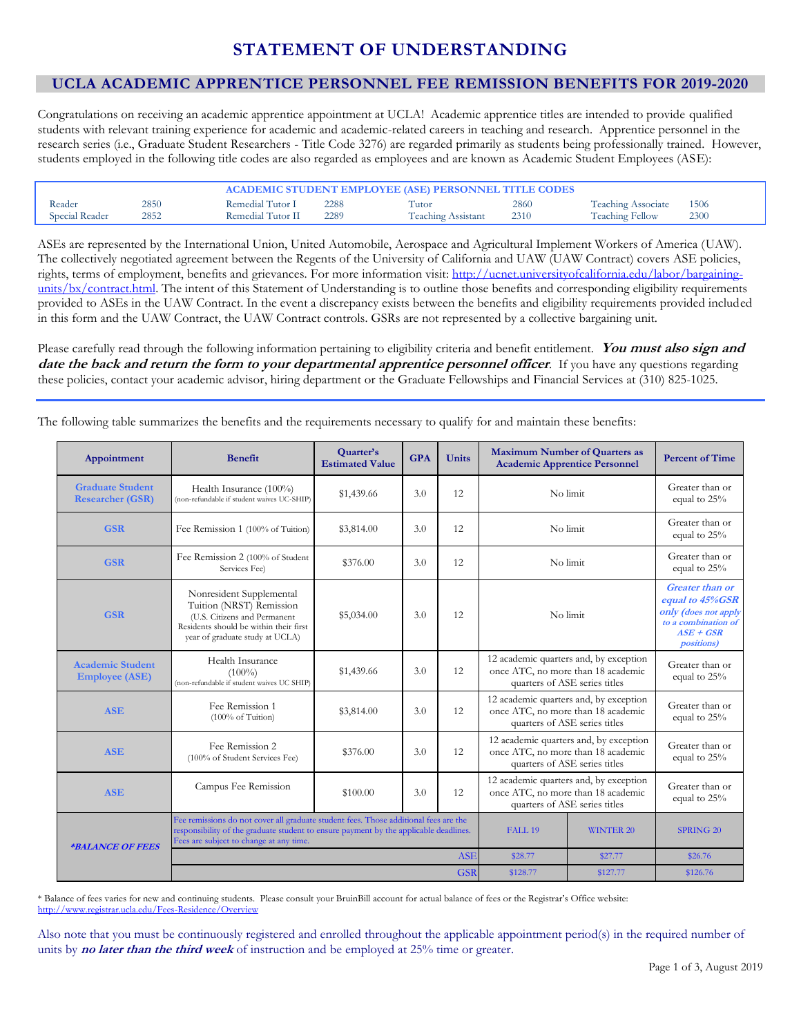# **STATEMENT OF UNDERSTANDING**

# **UCLA ACADEMIC APPRENTICE PERSONNEL FEE REMISSION BENEFITS FOR 2019-2020**

Congratulations on receiving an academic apprentice appointment at UCLA! Academic apprentice titles are intended to provide qualified students with relevant training experience for academic and academic-related careers in teaching and research. Apprentice personnel in the research series (i.e., Graduate Student Researchers - Title Code 3276) are regarded primarily as students being professionally trained. However, students employed in the following title codes are also regarded as employees and are known as Academic Student Employees (ASE):

| 2850<br>2860<br>Remedial Tutor I<br>2288<br>Reader<br>Tutor<br>2852<br>Special Reader<br>Remedial Tutor II<br>2289<br>2310<br><b>Teaching Assistant</b> | - 1506<br><b>Teaching Associate</b><br><b>Teaching Fellow</b><br>2300 |
|---------------------------------------------------------------------------------------------------------------------------------------------------------|-----------------------------------------------------------------------|

ASEs are represented by the International Union, United Automobile, Aerospace and Agricultural Implement Workers of America (UAW). The collectively negotiated agreement between the Regents of the University of California and UAW (UAW Contract) covers ASE policies, rights, terms of employment, benefits and grievances. For more information visit[: http://ucnet.universityofcalifornia.edu/labor/bargaining](http://ucnet.universityofcalifornia.edu/labor/bargaining-units/bx/contract.html)[units/bx/contract.html.](http://ucnet.universityofcalifornia.edu/labor/bargaining-units/bx/contract.html) The intent of this Statement of Understanding is to outline those benefits and corresponding eligibility requirements provided to ASEs in the UAW Contract. In the event a discrepancy exists between the benefits and eligibility requirements provided included in this form and the UAW Contract, the UAW Contract controls. GSRs are not represented by a collective bargaining unit.

Please carefully read through the following information pertaining to eligibility criteria and benefit entitlement. **You must also sign and date the back and return the form to your departmental apprentice personnel officer**. If you have any questions regarding these policies, contact your academic advisor, hiring department or the Graduate Fellowships and Financial Services at (310) 825-1025.

The following table summarizes the benefits and the requirements necessary to qualify for and maintain these benefits:

| Appointment                                        | <b>Benefit</b>                                                                                                                                                                                                           | Quarter's<br><b>Estimated Value</b> | <b>GPA</b> | <b>Units</b>       | <b>Maximum Number of Quarters as</b><br><b>Academic Apprentice Personnel</b>                                  |                  | <b>Percent of Time</b>                                                                                                      |
|----------------------------------------------------|--------------------------------------------------------------------------------------------------------------------------------------------------------------------------------------------------------------------------|-------------------------------------|------------|--------------------|---------------------------------------------------------------------------------------------------------------|------------------|-----------------------------------------------------------------------------------------------------------------------------|
| <b>Graduate Student</b><br><b>Researcher (GSR)</b> | Health Insurance (100%)<br>(non-refundable if student waives UC-SHIP)                                                                                                                                                    | \$1,439.66                          | 3.0        | 12                 | No limit                                                                                                      |                  | Greater than or<br>equal to 25%                                                                                             |
| <b>GSR</b>                                         | Fee Remission 1 (100% of Tuition)                                                                                                                                                                                        | \$3,814.00                          | 3.0        | 12                 | No limit                                                                                                      |                  | Greater than or<br>equal to 25%                                                                                             |
| <b>GSR</b>                                         | Fee Remission 2 (100% of Student<br>Services Fee)                                                                                                                                                                        | \$376.00                            | 3.0        | 12                 | No limit                                                                                                      |                  | Greater than or<br>equal to 25%                                                                                             |
| <b>GSR</b>                                         | Nonresident Supplemental<br>Tuition (NRST) Remission<br>(U.S. Citizens and Permanent<br>Residents should be within their first<br>year of graduate study at UCLA)                                                        | \$5,034.00                          | 3.0        | 12                 | No limit                                                                                                      |                  | <b>Greater</b> than or<br>equal to 45%GSR<br>only (does not apply<br>to a combination of<br>$ASE+GSR$<br><i>positions</i> ) |
| <b>Academic Student</b><br><b>Employee (ASE)</b>   | Health Insurance<br>$(100\%)$<br>(non-refundable if student waives UC SHIP)                                                                                                                                              | \$1,439.66                          | 3.0        | 12                 | 12 academic quarters and, by exception<br>once ATC, no more than 18 academic<br>quarters of ASE series titles |                  | Greater than or<br>equal to 25%                                                                                             |
| <b>ASE</b>                                         | Fee Remission 1<br>$(100\% \text{ of Tuition})$                                                                                                                                                                          | \$3,814.00                          | 3.0        | 12                 | 12 academic quarters and, by exception<br>once ATC, no more than 18 academic<br>quarters of ASE series titles |                  | Greater than or<br>equal to 25%                                                                                             |
| <b>ASE</b>                                         | Fee Remission 2<br>(100% of Student Services Fee)                                                                                                                                                                        | \$376.00                            | 3.0        | 12                 | 12 academic quarters and, by exception<br>once ATC, no more than 18 academic<br>quarters of ASE series titles |                  | Greater than or<br>equal to 25%                                                                                             |
| <b>ASE</b>                                         | Campus Fee Remission                                                                                                                                                                                                     | \$100.00                            | 3.0        | 12                 | 12 academic quarters and, by exception<br>once ATC, no more than 18 academic<br>quarters of ASE series titles |                  | Greater than or<br>equal to 25%                                                                                             |
| <i><b>*BALANCE OF FEES</b></i>                     | Fee remissions do not cover all graduate student fees. Those additional fees are the<br>responsibility of the graduate student to ensure payment by the applicable deadlines.<br>Fees are subject to change at any time. |                                     |            | FALL <sub>19</sub> | <b>WINTER 20</b>                                                                                              | <b>SPRING 20</b> |                                                                                                                             |
|                                                    | <b>ASE</b>                                                                                                                                                                                                               |                                     |            |                    | \$28.77                                                                                                       | \$27.77          | \$26.76                                                                                                                     |
|                                                    |                                                                                                                                                                                                                          |                                     |            | <b>GSR</b>         | \$128.77                                                                                                      | \$127.77         | \$126.76                                                                                                                    |

\* Balance of fees varies for new and continuing students. Please consult your BruinBill account for actual balance of fees or the Registrar's Office website: <http://www.registrar.ucla.edu/Fees-Residence/Overview>

Also note that you must be continuously registered and enrolled throughout the applicable appointment period(s) in the required number of units by **no later than the third week** of instruction and be employed at 25% time or greater.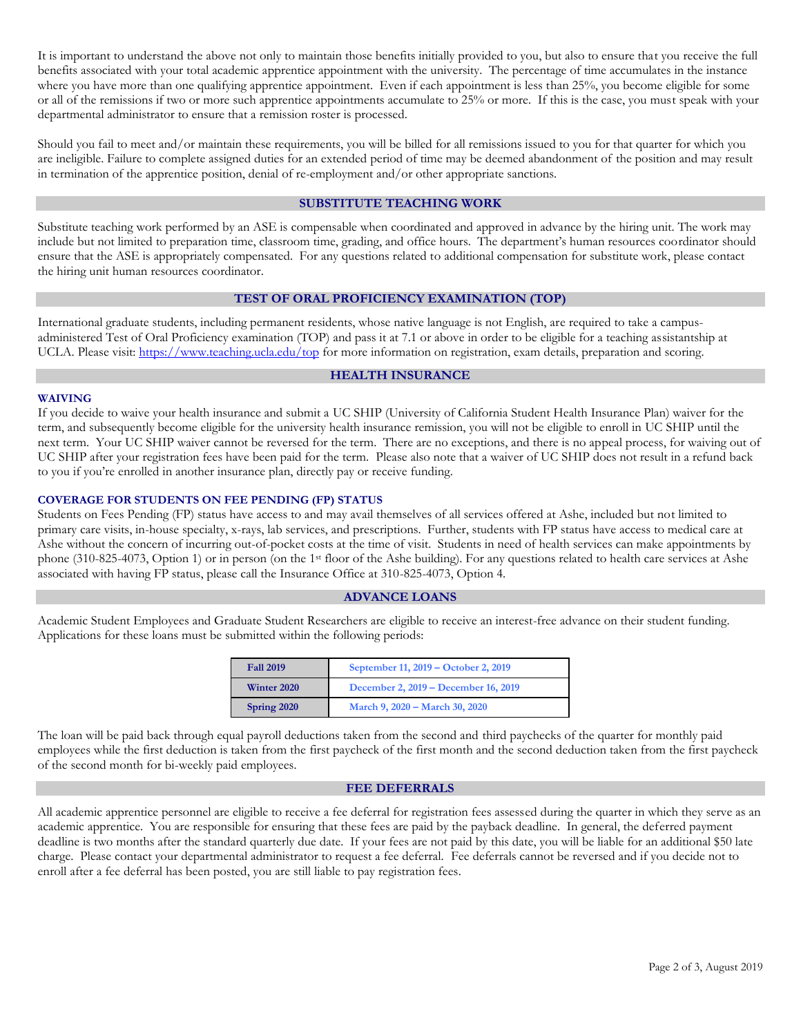It is important to understand the above not only to maintain those benefits initially provided to you, but also to ensure that you receive the full benefits associated with your total academic apprentice appointment with the university. The percentage of time accumulates in the instance where you have more than one qualifying apprentice appointment. Even if each appointment is less than 25%, you become eligible for some or all of the remissions if two or more such apprentice appointments accumulate to 25% or more. If this is the case, you must speak with your departmental administrator to ensure that a remission roster is processed.

Should you fail to meet and/or maintain these requirements, you will be billed for all remissions issued to you for that quarter for which you are ineligible. Failure to complete assigned duties for an extended period of time may be deemed abandonment of the position and may result in termination of the apprentice position, denial of re-employment and/or other appropriate sanctions.

# **SUBSTITUTE TEACHING WORK**

Substitute teaching work performed by an ASE is compensable when coordinated and approved in advance by the hiring unit. The work may include but not limited to preparation time, classroom time, grading, and office hours. The department's human resources coordinator should ensure that the ASE is appropriately compensated. For any questions related to additional compensation for substitute work, please contact the hiring unit human resources coordinator.

# **TEST OF ORAL PROFICIENCY EXAMINATION (TOP)**

International graduate students, including permanent residents, whose native language is not English, are required to take a campusadministered Test of Oral Proficiency examination (TOP) and pass it at 7.1 or above in order to be eligible for a teaching assistantship at UCLA. Please visit:<https://www.teaching.ucla.edu/top> for more information on registration, exam details, preparation and scoring.

# **HEALTH INSURANCE**

#### **WAIVING**

If you decide to waive your health insurance and submit a UC SHIP (University of California Student Health Insurance Plan) waiver for the term, and subsequently become eligible for the university health insurance remission, you will not be eligible to enroll in UC SHIP until the next term. Your UC SHIP waiver cannot be reversed for the term. There are no exceptions, and there is no appeal process, for waiving out of UC SHIP after your registration fees have been paid for the term. Please also note that a waiver of UC SHIP does not result in a refund back to you if you're enrolled in another insurance plan, directly pay or receive funding.

#### **COVERAGE FOR STUDENTS ON FEE PENDING (FP) STATUS**

Students on Fees Pending (FP) status have access to and may avail themselves of all services offered at Ashe, included but not limited to primary care visits, in-house specialty, x-rays, lab services, and prescriptions. Further, students with FP status have access to medical care at Ashe without the concern of incurring out-of-pocket costs at the time of visit. Students in need of health services can make appointments by phone (310-825-4073, Option 1) or in person (on the 1st floor of the Ashe building). For any questions related to health care services at Ashe associated with having FP status, please call the Insurance Office at 310-825-4073, Option 4.

# **ADVANCE LOANS**

Academic Student Employees and Graduate Student Researchers are eligible to receive an interest-free advance on their student funding. Applications for these loans must be submitted within the following periods:

| <b>Fall 2019</b> | September 11, 2019 – October 2, 2019 |
|------------------|--------------------------------------|
| Winter 2020      | December 2, 2019 – December 16, 2019 |
| Spring 2020      | March 9, 2020 – March 30, 2020       |

The loan will be paid back through equal payroll deductions taken from the second and third paychecks of the quarter for monthly paid employees while the first deduction is taken from the first paycheck of the first month and the second deduction taken from the first paycheck of the second month for bi-weekly paid employees.

#### **FEE DEFERRALS**

All academic apprentice personnel are eligible to receive a fee deferral for registration fees assessed during the quarter in which they serve as an academic apprentice. You are responsible for ensuring that these fees are paid by the payback deadline. In general, the deferred payment deadline is two months after the standard quarterly due date. If your fees are not paid by this date, you will be liable for an additional \$50 late charge. Please contact your departmental administrator to request a fee deferral. Fee deferrals cannot be reversed and if you decide not to enroll after a fee deferral has been posted, you are still liable to pay registration fees.